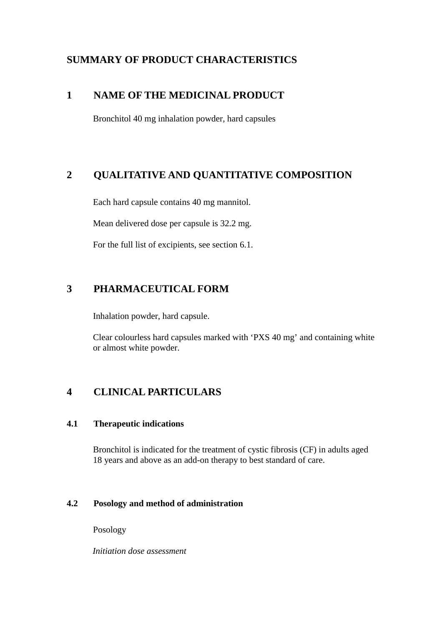## **SUMMARY OF PRODUCT CHARACTERISTICS**

## **1 NAME OF THE MEDICINAL PRODUCT**

Bronchitol 40 mg inhalation powder, hard capsules

## **2 QUALITATIVE AND QUANTITATIVE COMPOSITION**

Each hard capsule contains 40 mg mannitol.

Mean delivered dose per capsule is 32.2 mg.

For the full list of excipients, see section 6.1.

## **3 PHARMACEUTICAL FORM**

Inhalation powder, hard capsule.

Clear colourless hard capsules marked with 'PXS 40 mg' and containing white or almost white powder.

## **4 CLINICAL PARTICULARS**

## **4.1 Therapeutic indications**

Bronchitol is indicated for the treatment of cystic fibrosis (CF) in adults aged 18 years and above as an add-on therapy to best standard of care.

## **4.2 Posology and method of administration**

Posology

*Initiation dose assessment*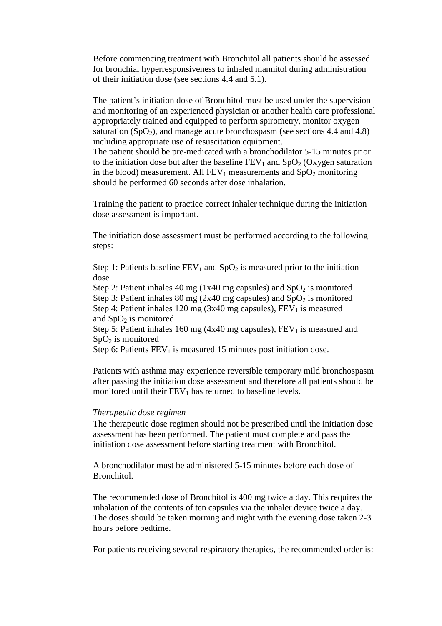Before commencing treatment with Bronchitol all patients should be assessed for bronchial hyperresponsiveness to inhaled mannitol during administration of their initiation dose (see sections 4.4 and 5.1).

The patient's initiation dose of Bronchitol must be used under the supervision and monitoring of an experienced physician or another health care professional appropriately trained and equipped to perform spirometry, monitor oxygen saturation (SpO<sub>2</sub>), and manage acute bronchospasm (see sections 4.4 and 4.8) including appropriate use of resuscitation equipment. The patient should be pre-medicated with a bronchodilator 5-15 minutes prior to the initiation dose but after the baseline  $FEV_1$  and  $SpO_2$  (Oxygen saturation

in the blood) measurement. All  $FEV_1$  measurements and  $SpO_2$  monitoring should be performed 60 seconds after dose inhalation.

Training the patient to practice correct inhaler technique during the initiation dose assessment is important.

The initiation dose assessment must be performed according to the following steps:

Step 1: Patients baseline  $FEV_1$  and  $SpO_2$  is measured prior to the initiation dose

Step 2: Patient inhales 40 mg (1x40 mg capsules) and  $SpO<sub>2</sub>$  is monitored Step 3: Patient inhales 80 mg (2x40 mg capsules) and  $SpO<sub>2</sub>$  is monitored Step 4: Patient inhales 120 mg (3x40 mg capsules),  $FEV<sub>1</sub>$  is measured and  $SpO<sub>2</sub>$  is monitored

Step 5: Patient inhales 160 mg (4x40 mg capsules),  $FEV<sub>1</sub>$  is measured and  $SpO<sub>2</sub>$  is monitored

Step 6: Patients  $FEV<sub>1</sub>$  is measured 15 minutes post initiation dose.

Patients with asthma may experience reversible temporary mild bronchospasm after passing the initiation dose assessment and therefore all patients should be monitored until their  $FEV<sub>1</sub>$  has returned to baseline levels.

#### *Therapeutic dose regimen*

The therapeutic dose regimen should not be prescribed until the initiation dose assessment has been performed. The patient must complete and pass the initiation dose assessment before starting treatment with Bronchitol.

A bronchodilator must be administered 5-15 minutes before each dose of Bronchitol.

The recommended dose of Bronchitol is 400 mg twice a day. This requires the inhalation of the contents of ten capsules via the inhaler device twice a day. The doses should be taken morning and night with the evening dose taken 2-3 hours before bedtime.

For patients receiving several respiratory therapies, the recommended order is: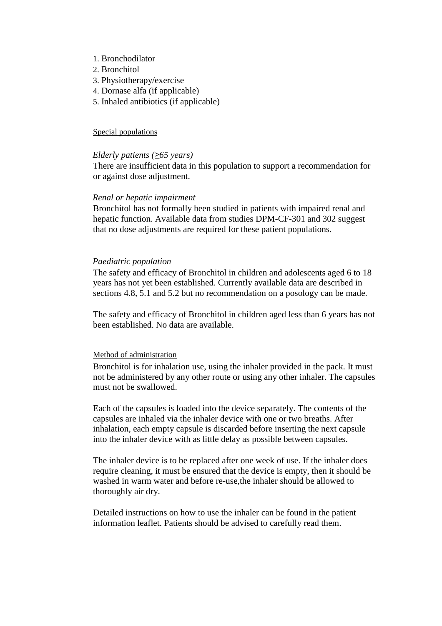- 1. Bronchodilator
- 2. Bronchitol
- 3. Physiotherapy/exercise
- 4. Dornase alfa (if applicable)
- 5. Inhaled antibiotics (if applicable)

#### Special populations

#### *Elderly patients (*≥*65 years)*

There are insufficient data in this population to support a recommendation for or against dose adjustment.

#### *Renal or hepatic impairment*

Bronchitol has not formally been studied in patients with impaired renal and hepatic function. Available data from studies DPM-CF-301 and 302 suggest that no dose adjustments are required for these patient populations.

#### *Paediatric population*

The safety and efficacy of Bronchitol in children and adolescents aged 6 to 18 years has not yet been established. Currently available data are described in sections 4.8, 5.1 and 5.2 but no recommendation on a posology can be made.

The safety and efficacy of Bronchitol in children aged less than 6 years has not been established. No data are available.

#### Method of administration

Bronchitol is for inhalation use, using the inhaler provided in the pack. It must not be administered by any other route or using any other inhaler. The capsules must not be swallowed.

Each of the capsules is loaded into the device separately. The contents of the capsules are inhaled via the inhaler device with one or two breaths. After inhalation, each empty capsule is discarded before inserting the next capsule into the inhaler device with as little delay as possible between capsules.

The inhaler device is to be replaced after one week of use. If the inhaler does require cleaning, it must be ensured that the device is empty, then it should be washed in warm water and before re-use,the inhaler should be allowed to thoroughly air dry.

Detailed instructions on how to use the inhaler can be found in the patient information leaflet. Patients should be advised to carefully read them.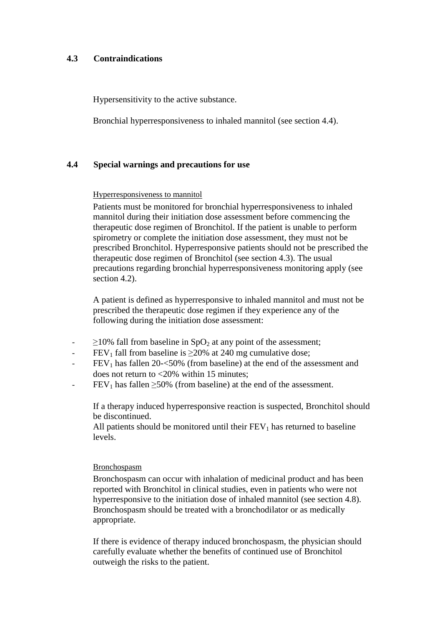## **4.3 Contraindications**

Hypersensitivity to the active substance.

Bronchial hyperresponsiveness to inhaled mannitol (see section 4.4).

### **4.4 Special warnings and precautions for use**

#### Hyperresponsiveness to mannitol

Patients must be monitored for bronchial hyperresponsiveness to inhaled mannitol during their initiation dose assessment before commencing the therapeutic dose regimen of Bronchitol. If the patient is unable to perform spirometry or complete the initiation dose assessment, they must not be prescribed Bronchitol. Hyperresponsive patients should not be prescribed the therapeutic dose regimen of Bronchitol (see section 4.3). The usual precautions regarding bronchial hyperresponsiveness monitoring apply (see section 4.2).

A patient is defined as hyperresponsive to inhaled mannitol and must not be prescribed the therapeutic dose regimen if they experience any of the following during the initiation dose assessment:

- $\geq$ 10% fall from baseline in SpO<sub>2</sub> at any point of the assessment;
- $FEV<sub>1</sub>$  fall from baseline is  $\geq$ 20% at 240 mg cumulative dose;
- $FEV<sub>1</sub>$  has fallen 20- $<$ 50% (from baseline) at the end of the assessment and does not return to <20% within 15 minutes;
- $FEV<sub>1</sub>$  has fallen  $\geq$ 50% (from baseline) at the end of the assessment.

If a therapy induced hyperresponsive reaction is suspected, Bronchitol should be discontinued.

All patients should be monitored until their  $FEV<sub>1</sub>$  has returned to baseline levels.

#### Bronchospasm

Bronchospasm can occur with inhalation of medicinal product and has been reported with Bronchitol in clinical studies, even in patients who were not hyperresponsive to the initiation dose of inhaled mannitol (see section 4.8). Bronchospasm should be treated with a bronchodilator or as medically appropriate.

If there is evidence of therapy induced bronchospasm, the physician should carefully evaluate whether the benefits of continued use of Bronchitol outweigh the risks to the patient.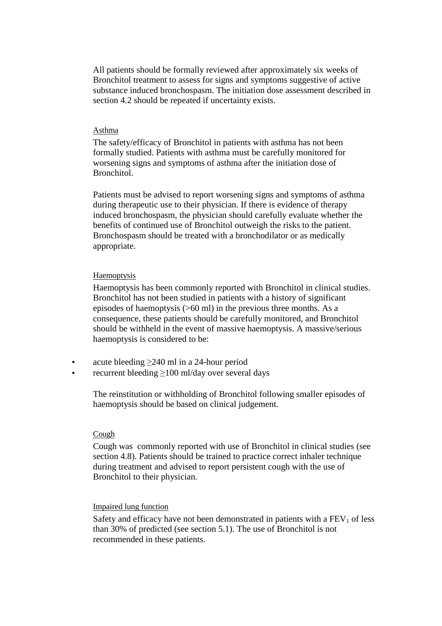All patients should be formally reviewed after approximately six weeks of Bronchitol treatment to assess for signs and symptoms suggestive of active substance induced bronchospasm. The initiation dose assessment described in section 4.2 should be repeated if uncertainty exists.

#### Asthma

The safety/efficacy of Bronchitol in patients with asthma has not been formally studied. Patients with asthma must be carefully monitored for worsening signs and symptoms of asthma after the initiation dose of Bronchitol.

Patients must be advised to report worsening signs and symptoms of asthma during therapeutic use to their physician. If there is evidence of therapy induced bronchospasm, the physician should carefully evaluate whether the benefits of continued use of Bronchitol outweigh the risks to the patient. Bronchospasm should be treated with a bronchodilator or as medically appropriate.

#### Haemoptysis

Haemoptysis has been commonly reported with Bronchitol in clinical studies. Bronchitol has not been studied in patients with a history of significant episodes of haemoptysis (>60 ml) in the previous three months. As a consequence, these patients should be carefully monitored, and Bronchitol should be withheld in the event of massive haemoptysis. A massive/serious haemoptysis is considered to be:

- acute bleeding  $\geq$ 240 ml in a 24-hour period
- recurrent bleeding >100 ml/day over several days

The reinstitution or withholding of Bronchitol following smaller episodes of haemoptysis should be based on clinical judgement.

#### **Cough**

Cough was commonly reported with use of Bronchitol in clinical studies (see section 4.8). Patients should be trained to practice correct inhaler technique during treatment and advised to report persistent cough with the use of Bronchitol to their physician.

#### Impaired lung function

Safety and efficacy have not been demonstrated in patients with a  $FEV<sub>1</sub>$  of less than 30% of predicted (see section 5.1). The use of Bronchitol is not recommended in these patients.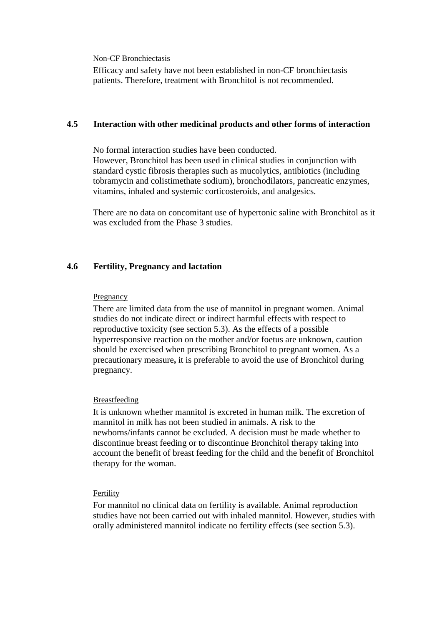#### Non-CF Bronchiectasis

Efficacy and safety have not been established in non-CF bronchiectasis patients. Therefore, treatment with Bronchitol is not recommended.

## **4.5 Interaction with other medicinal products and other forms of interaction**

No formal interaction studies have been conducted. However, Bronchitol has been used in clinical studies in conjunction with standard cystic fibrosis therapies such as mucolytics, antibiotics (including tobramycin and colistimethate sodium), bronchodilators, pancreatic enzymes, vitamins, inhaled and systemic corticosteroids, and analgesics.

There are no data on concomitant use of hypertonic saline with Bronchitol as it was excluded from the Phase 3 studies.

## **4.6 Fertility, Pregnancy and lactation**

#### **Pregnancy**

There are limited data from the use of mannitol in pregnant women. Animal studies do not indicate direct or indirect harmful effects with respect to reproductive toxicity (see section 5.3). As the effects of a possible hyperresponsive reaction on the mother and/or foetus are unknown, caution should be exercised when prescribing Bronchitol to pregnant women. As a precautionary measure**,** it is preferable to avoid the use of Bronchitol during pregnancy.

#### Breastfeeding

It is unknown whether mannitol is excreted in human milk. The excretion of mannitol in milk has not been studied in animals. A risk to the newborns/infants cannot be excluded. A decision must be made whether to discontinue breast feeding or to discontinue Bronchitol therapy taking into account the benefit of breast feeding for the child and the benefit of Bronchitol therapy for the woman.

#### Fertility

For mannitol no clinical data on fertility is available. Animal reproduction studies have not been carried out with inhaled mannitol. However, studies with orally administered mannitol indicate no fertility effects (see section 5.3).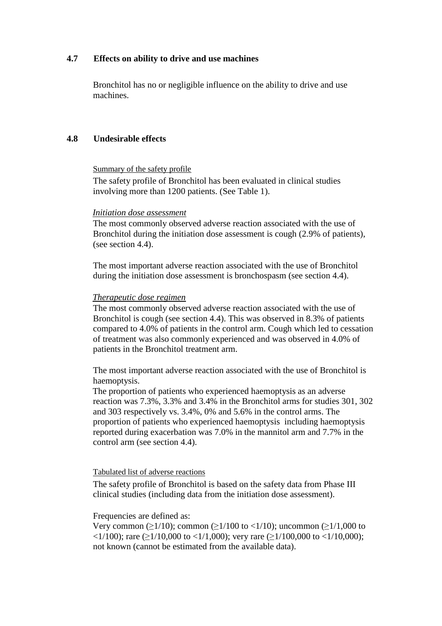## **4.7 Effects on ability to drive and use machines**

Bronchitol has no or negligible influence on the ability to drive and use machines.

## **4.8 Undesirable effects**

Summary of the safety profile

The safety profile of Bronchitol has been evaluated in clinical studies involving more than 1200 patients. (See Table 1).

### *Initiation dose assessment*

The most commonly observed adverse reaction associated with the use of Bronchitol during the initiation dose assessment is cough (2.9% of patients), (see section 4.4).

The most important adverse reaction associated with the use of Bronchitol during the initiation dose assessment is bronchospasm (see section 4.4).

## *Therapeutic dose regimen*

The most commonly observed adverse reaction associated with the use of Bronchitol is cough (see section 4.4). This was observed in 8.3% of patients compared to 4.0% of patients in the control arm. Cough which led to cessation of treatment was also commonly experienced and was observed in 4.0% of patients in the Bronchitol treatment arm.

The most important adverse reaction associated with the use of Bronchitol is haemoptysis.

The proportion of patients who experienced haemoptysis as an adverse reaction was 7.3%, 3.3% and 3.4% in the Bronchitol arms for studies 301, 302 and 303 respectively vs. 3.4%, 0% and 5.6% in the control arms. The proportion of patients who experienced haemoptysis including haemoptysis reported during exacerbation was 7.0% in the mannitol arm and 7.7% in the control arm (see section 4.4).

### Tabulated list of adverse reactions

The safety profile of Bronchitol is based on the safety data from Phase III clinical studies (including data from the initiation dose assessment).

### Frequencies are defined as:

Very common ( $>1/10$ ); common ( $>1/100$  to  $<1/10$ ); uncommon ( $>1/1,000$  to  $\langle 1/100 \rangle$ ; rare ( $\geq 1/10,000$  to  $\langle 1/1,000 \rangle$ ; very rare ( $\geq 1/100,000$  to  $\langle 1/10,000 \rangle$ ; not known (cannot be estimated from the available data).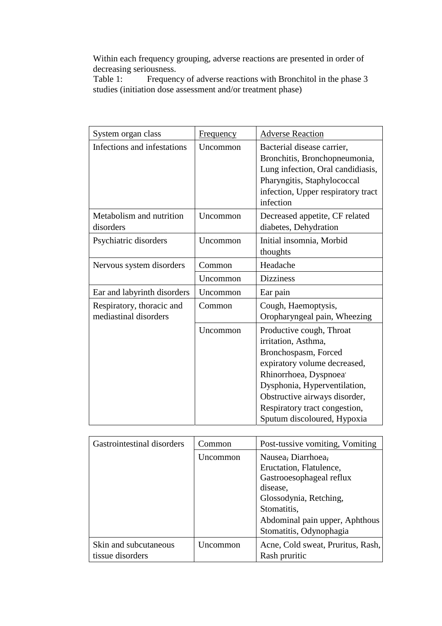Within each frequency grouping, adverse reactions are presented in order of decreasing seriousness.<br>Table 1: Frequence

Frequency of adverse reactions with Bronchitol in the phase 3 studies (initiation dose assessment and/or treatment phase)

| System organ class                                 | Frequency | <b>Adverse Reaction</b>                                                                                                                                                                                                                                                        |
|----------------------------------------------------|-----------|--------------------------------------------------------------------------------------------------------------------------------------------------------------------------------------------------------------------------------------------------------------------------------|
| Infections and infestations                        | Uncommon  | Bacterial disease carrier,<br>Bronchitis, Bronchopneumonia,<br>Lung infection, Oral candidiasis,<br>Pharyngitis, Staphylococcal<br>infection, Upper respiratory tract<br>infection                                                                                             |
| Metabolism and nutrition<br>disorders              | Uncommon  | Decreased appetite, CF related<br>diabetes, Dehydration                                                                                                                                                                                                                        |
| Psychiatric disorders                              | Uncommon  | Initial insomnia, Morbid<br>thoughts                                                                                                                                                                                                                                           |
| Nervous system disorders                           | Common    | Headache                                                                                                                                                                                                                                                                       |
|                                                    | Uncommon  | <b>Dizziness</b>                                                                                                                                                                                                                                                               |
| Ear and labyrinth disorders                        | Uncommon  | Ear pain                                                                                                                                                                                                                                                                       |
| Respiratory, thoracic and<br>mediastinal disorders | Common    | Cough, Haemoptysis,<br>Oropharyngeal pain, Wheezing                                                                                                                                                                                                                            |
|                                                    | Uncommon  | Productive cough, Throat<br>irritation, Asthma,<br>Bronchospasm, Forced<br>expiratory volume decreased,<br>Rhinorrhoea, Dyspnoea <sup>'</sup><br>Dysphonia, Hyperventilation,<br>Obstructive airways disorder,<br>Respiratory tract congestion,<br>Sputum discoloured, Hypoxia |

| Gastrointestinal disorders                | Common   | Post-tussive vomiting, Vomiting                                                                    |
|-------------------------------------------|----------|----------------------------------------------------------------------------------------------------|
|                                           | Uncommon | Nausea, Diarrhoea,<br>Eructation, Flatulence,<br>Gastrooesophageal reflux<br>disease,              |
|                                           |          | Glossodynia, Retching,<br>Stomatitis,<br>Abdominal pain upper, Aphthous<br>Stomatitis, Odynophagia |
| Skin and subcutaneous<br>tissue disorders | Uncommon | Acne, Cold sweat, Pruritus, Rash,<br>Rash pruritic                                                 |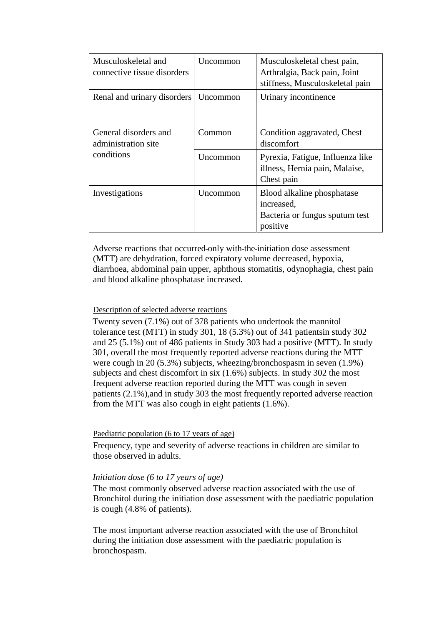| Musculoskeletal and<br>connective tissue disorders | Uncommon        | Musculoskeletal chest pain,<br>Arthralgia, Back pain, Joint<br>stiffness, Musculoskeletal pain |
|----------------------------------------------------|-----------------|------------------------------------------------------------------------------------------------|
| Renal and urinary disorders                        | Uncommon        | Urinary incontinence                                                                           |
| General disorders and<br>administration site       | Common          | Condition aggravated, Chest<br>discomfort                                                      |
| conditions                                         | <b>Uncommon</b> | Pyrexia, Fatigue, Influenza like<br>illness, Hernia pain, Malaise,<br>Chest pain               |
| Investigations                                     | Uncommon        | Blood alkaline phosphatase<br>increased,<br>Bacteria or fungus sputum test<br>positive         |

Adverse reactions that occurred-only with-the-initiation dose assessment (MTT) are dehydration, forced expiratory volume decreased, hypoxia, diarrhoea, abdominal pain upper, aphthous stomatitis, odynophagia, chest pain and blood alkaline phosphatase increased.

#### Description of selected adverse reactions

Twenty seven (7.1%) out of 378 patients who undertook the mannitol tolerance test (MTT) in study 301, 18 (5.3%) out of 341 patientsin study 302 and 25 (5.1%) out of 486 patients in Study 303 had a positive (MTT). In study 301, overall the most frequently reported adverse reactions during the MTT were cough in 20 (5.3%) subjects, wheezing/bronchospasm in seven (1.9%) subjects and chest discomfort in six (1.6%) subjects. In study 302 the most frequent adverse reaction reported during the MTT was cough in seven patients (2.1%),and in study 303 the most frequently reported adverse reaction from the MTT was also cough in eight patients (1.6%).

#### Paediatric population (6 to 17 years of age)

Frequency, type and severity of adverse reactions in children are similar to those observed in adults.

## *Initiation dose (6 to 17 years of age)*

The most commonly observed adverse reaction associated with the use of Bronchitol during the initiation dose assessment with the paediatric population is cough (4.8% of patients).

The most important adverse reaction associated with the use of Bronchitol during the initiation dose assessment with the paediatric population is bronchospasm.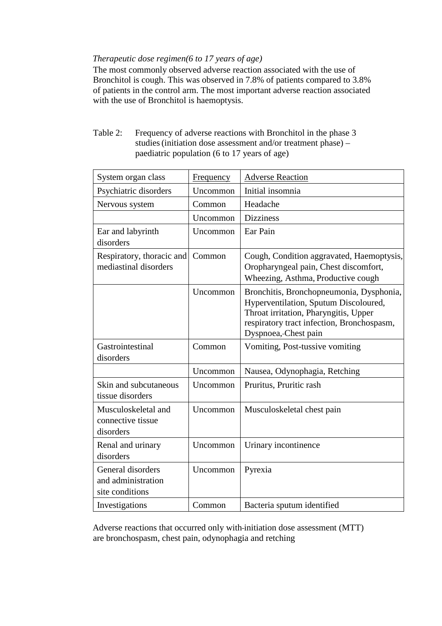## *Therapeutic dose regimen(6 to 17 years of age)*

The most commonly observed adverse reaction associated with the use of Bronchitol is cough. This was observed in 7.8% of patients compared to 3.8% of patients in the control arm. The most important adverse reaction associated with the use of Bronchitol is haemoptysis.

Table 2: Frequency of adverse reactions with Bronchitol in the phase 3 studies(initiation dose assessment and/or treatment phase) – paediatric population (6 to 17 years of age)

| System organ class                                         | Frequency | <b>Adverse Reaction</b>                                                                                                                                                                          |
|------------------------------------------------------------|-----------|--------------------------------------------------------------------------------------------------------------------------------------------------------------------------------------------------|
| Psychiatric disorders                                      | Uncommon  | Initial insomnia                                                                                                                                                                                 |
| Nervous system                                             | Common    | Headache                                                                                                                                                                                         |
|                                                            | Uncommon  | <b>Dizziness</b>                                                                                                                                                                                 |
| Ear and labyrinth<br>disorders                             | Uncommon  | Ear Pain                                                                                                                                                                                         |
| Respiratory, thoracic and<br>mediastinal disorders         | Common    | Cough, Condition aggravated, Haemoptysis,<br>Oropharyngeal pain, Chest discomfort,<br>Wheezing, Asthma, Productive cough                                                                         |
|                                                            | Uncommon  | Bronchitis, Bronchopneumonia, Dysphonia,<br>Hyperventilation, Sputum Discoloured,<br>Throat irritation, Pharyngitis, Upper<br>respiratory tract infection, Bronchospasm,<br>Dyspnoea, Chest pain |
| Gastrointestinal<br>disorders                              | Common    | Vomiting, Post-tussive vomiting                                                                                                                                                                  |
|                                                            | Uncommon  | Nausea, Odynophagia, Retching                                                                                                                                                                    |
| Skin and subcutaneous<br>tissue disorders                  | Uncommon  | Pruritus, Pruritic rash                                                                                                                                                                          |
| Musculoskeletal and<br>connective tissue<br>disorders      | Uncommon  | Musculoskeletal chest pain                                                                                                                                                                       |
| Renal and urinary<br>disorders                             | Uncommon  | Urinary incontinence                                                                                                                                                                             |
| General disorders<br>and administration<br>site conditions | Uncommon  | Pyrexia                                                                                                                                                                                          |
| Investigations                                             | Common    | Bacteria sputum identified                                                                                                                                                                       |

Adverse reactions that occurred only with initiation dose assessment (MTT) are bronchospasm, chest pain, odynophagia and retching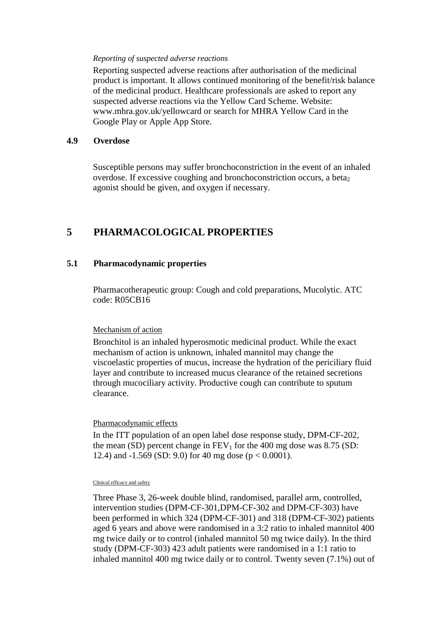#### *Reporting of suspected adverse reactions*

Reporting suspected adverse reactions after authorisation of the medicinal product is important. It allows continued monitoring of the benefit/risk balance of the medicinal product. Healthcare professionals are asked to report any suspected adverse reactions via the Yellow Card Scheme. Website: www.mhra.gov.uk/yellowcard or search for MHRA Yellow Card in the Google Play or Apple App Store.

### **4.9 Overdose**

Susceptible persons may suffer bronchoconstriction in the event of an inhaled overdose. If excessive coughing and bronchoconstriction occurs, a beta<sub>2</sub> agonist should be given, and oxygen if necessary.

## **5 PHARMACOLOGICAL PROPERTIES**

## **5.1 Pharmacodynamic properties**

Pharmacotherapeutic group: Cough and cold preparations, Mucolytic. ATC code: R05CB16

### Mechanism of action

Bronchitol is an inhaled hyperosmotic medicinal product. While the exact mechanism of action is unknown, inhaled mannitol may change the viscoelastic properties of mucus, increase the hydration of the periciliary fluid layer and contribute to increased mucus clearance of the retained secretions through mucociliary activity. Productive cough can contribute to sputum clearance.

### Pharmacodynamic effects

In the ITT population of an open label dose response study, DPM-CF-202, the mean (SD) percent change in  $FEV_1$  for the 400 mg dose was 8.75 (SD: 12.4) and  $-1.569$  (SD: 9.0) for 40 mg dose (p  $< 0.0001$ ).

#### Clinical efficacy and safety

Three Phase 3, 26-week double blind, randomised, parallel arm, controlled, intervention studies (DPM-CF-301,DPM-CF-302 and DPM-CF-303) have been performed in which 324 (DPM-CF-301) and 318 (DPM-CF-302) patients aged 6 years and above were randomised in a 3:2 ratio to inhaled mannitol 400 mg twice daily or to control (inhaled mannitol 50 mg twice daily). In the third study (DPM-CF-303) 423 adult patients were randomised in a 1:1 ratio to inhaled mannitol 400 mg twice daily or to control. Twenty seven (7.1%) out of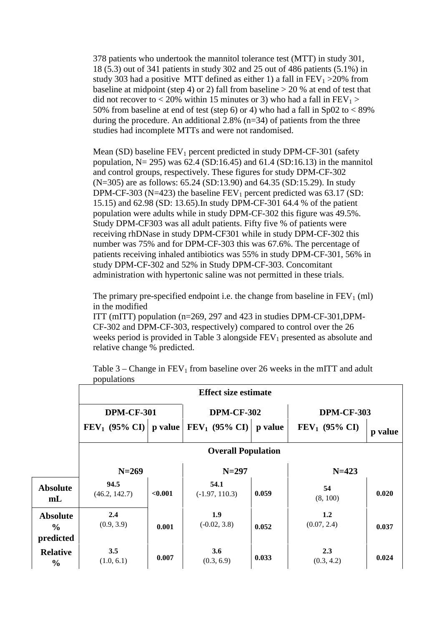378 patients who undertook the mannitol tolerance test (MTT) in study 301, 18 (5.3) out of 341 patients in study 302 and 25 out of 486 patients (5.1%) in study 303 had a positive MTT defined as either 1) a fall in  $FEV<sub>1</sub> > 20\%$  from baseline at midpoint (step 4) or 2) fall from baseline  $> 20$  % at end of test that did not recover to < 20% within 15 minutes or 3) who had a fall in  $FEV_1$  > 50% from baseline at end of test (step 6) or 4) who had a fall in Sp02 to  $< 89\%$ during the procedure. An additional 2.8%  $(n=34)$  of patients from the three studies had incomplete MTTs and were not randomised.

Mean (SD) baseline  $FEV_1$  percent predicted in study DPM-CF-301 (safety population,  $N = 295$ ) was 62.4 (SD:16.45) and 61.4 (SD:16.13) in the mannitol and control groups, respectively. These figures for study DPM-CF-302 (N=305) are as follows: 65.24 (SD:13.90) and 64.35 (SD:15.29). In study DPM-CF-303 (N=423) the baseline  $FEV_1$  percent predicted was 63.17 (SD: 15.15) and 62.98 (SD: 13.65).In study DPM-CF-301 64.4 % of the patient population were adults while in study DPM-CF-302 this figure was 49.5%. Study DPM-CF303 was all adult patients. Fifty five % of patients were receiving rhDNase in study DPM-CF301 while in study DPM-CF-302 this number was 75% and for DPM-CF-303 this was 67.6%. The percentage of patients receiving inhaled antibiotics was 55% in study DPM-CF-301, 56% in study DPM-CF-302 and 52% in Study DPM-CF-303. Concomitant administration with hypertonic saline was not permitted in these trials.

The primary pre-specified endpoint i.e. the change from baseline in  $FEV<sub>1</sub>$  (ml) in the modified

ITT (mITT) population (n=269, 297 and 423 in studies DPM-CF-301,DPM-CF-302 and DPM-CF-303, respectively) compared to control over the 26 weeks period is provided in Table 3 alongside  $FEV<sub>1</sub>$  presented as absolute and relative change % predicted.

|                                               |                           |         | <b>Effect size estimate</b> |         |                    |         |  |
|-----------------------------------------------|---------------------------|---------|-----------------------------|---------|--------------------|---------|--|
|                                               |                           |         |                             |         |                    |         |  |
|                                               | <b>DPM-CF-301</b>         |         | <b>DPM-CF-302</b>           |         | <b>DPM-CF-303</b>  |         |  |
|                                               | $FEV_1$ (95% CI)          | p value | $FEV_1$ (95% CI)            | p value | $FEV_1$ (95% CI)   | p value |  |
|                                               | <b>Overall Population</b> |         |                             |         |                    |         |  |
|                                               | $N = 269$                 |         | $N = 297$                   |         | $N=423$            |         |  |
| <b>Absolute</b><br>m <sub>L</sub>             | 94.5<br>(46.2, 142.7)     | < 0.001 | 54.1<br>$(-1.97, 110.3)$    | 0.059   | 54<br>(8, 100)     | 0.020   |  |
| <b>Absolute</b><br>$\frac{6}{9}$<br>predicted | 2.4<br>(0.9, 3.9)         | 0.001   | 1.9<br>$(-0.02, 3.8)$       | 0.052   | 1.2<br>(0.07, 2.4) | 0.037   |  |
| <b>Relative</b><br>$\frac{0}{0}$              | 3.5<br>(1.0, 6.1)         | 0.007   | 3.6<br>(0.3, 6.9)           | 0.033   | 2.3<br>(0.3, 4.2)  | 0.024   |  |

Table  $3$  – Change in FEV<sub>1</sub> from baseline over 26 weeks in the mITT and adult populations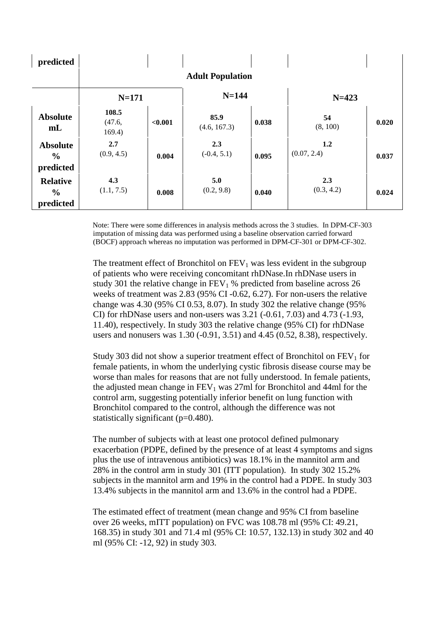| predicted                                     |                           |         |                      |       |                    |       |
|-----------------------------------------------|---------------------------|---------|----------------------|-------|--------------------|-------|
|                                               | <b>Adult Population</b>   |         |                      |       |                    |       |
|                                               | $N = 171$                 |         | $N = 144$            |       | $N = 423$          |       |
| <b>Absolute</b><br>m <sub>L</sub>             | 108.5<br>(47.6,<br>169.4) | < 0.001 | 85.9<br>(4.6, 167.3) | 0.038 | 54<br>(8, 100)     | 0.020 |
| <b>Absolute</b><br>$\frac{6}{9}$<br>predicted | 2.7<br>(0.9, 4.5)         | 0.004   | 2.3<br>$(-0.4, 5.1)$ | 0.095 | 1.2<br>(0.07, 2.4) | 0.037 |
| <b>Relative</b><br>$\frac{0}{0}$<br>predicted | 4.3<br>(1.1, 7.5)         | 0.008   | 5.0<br>(0.2, 9.8)    | 0.040 | 2.3<br>(0.3, 4.2)  | 0.024 |

Note: There were some differences in analysis methods across the 3 studies. In DPM-CF-303 imputation of missing data was performed using a baseline observation carried forward (BOCF) approach whereas no imputation was performed in DPM-CF-301 or DPM-CF-302.

The treatment effect of Bronchitol on  $FEV<sub>1</sub>$  was less evident in the subgroup of patients who were receiving concomitant rhDNase.In rhDNase users in study 301 the relative change in  $FEV<sub>1</sub>$ % predicted from baseline across 26 weeks of treatment was 2.83 (95% CI -0.62, 6.27). For non-users the relative change was 4.30 (95% CI 0.53, 8.07). In study 302 the relative change (95% CI) for rhDNase users and non-users was 3.21 (-0.61, 7.03) and 4.73 (-1.93, 11.40), respectively. In study 303 the relative change (95% CI) for rhDNase users and nonusers was 1.30 (-0.91, 3.51) and 4.45 (0.52, 8.38), respectively.

Study 303 did not show a superior treatment effect of Bronchitol on  $FEV<sub>1</sub>$  for female patients, in whom the underlying cystic fibrosis disease course may be worse than males for reasons that are not fully understood. In female patients, the adjusted mean change in  $FEV<sub>1</sub>$  was 27ml for Bronchitol and 44ml for the control arm, suggesting potentially inferior benefit on lung function with Bronchitol compared to the control, although the difference was not statistically significant (p=0.480).

The number of subjects with at least one protocol defined pulmonary exacerbation (PDPE, defined by the presence of at least 4 symptoms and signs plus the use of intravenous antibiotics) was 18.1% in the mannitol arm and 28% in the control arm in study 301 (ITT population). In study 302 15.2% subjects in the mannitol arm and 19% in the control had a PDPE. In study 303 13.4% subjects in the mannitol arm and 13.6% in the control had a PDPE.

The estimated effect of treatment (mean change and 95% CI from baseline over 26 weeks, mITT population) on FVC was 108.78 ml (95% CI: 49.21, 168.35) in study 301 and 71.4 ml (95% CI: 10.57, 132.13) in study 302 and 40 ml (95% CI: -12, 92) in study 303.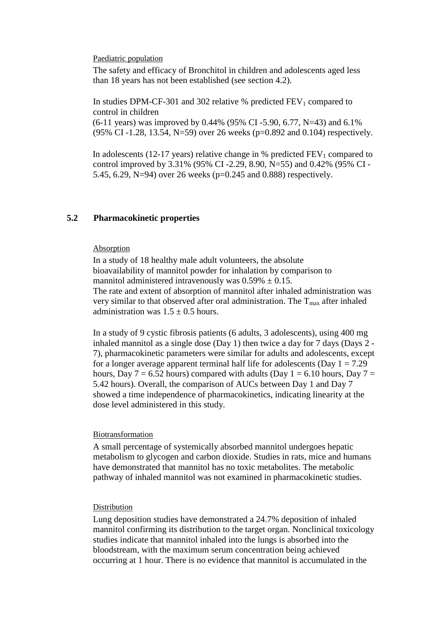#### Paediatric population

The safety and efficacy of Bronchitol in children and adolescents aged less than 18 years has not been established (see section 4.2).

In studies DPM-CF-301 and 302 relative  $%$  predicted FEV<sub>1</sub> compared to control in children

 $(6-11 \text{ years})$  was improved by 0.44% (95% CI -5.90, 6.77, N=43) and 6.1% (95% CI -1.28, 13.54, N=59) over 26 weeks (p=0.892 and 0.104) respectively.

In adolescents (12-17 years) relative change in  $%$  predicted  $FEV<sub>1</sub>$  compared to control improved by 3.31% (95% CI -2.29, 8.90, N=55) and 0.42% (95% CI - 5.45, 6.29, N=94) over 26 weeks (p=0.245 and 0.888) respectively.

## **5.2 Pharmacokinetic properties**

#### Absorption

In a study of 18 healthy male adult volunteers, the absolute bioavailability of mannitol powder for inhalation by comparison to mannitol administered intravenously was  $0.59\% \pm 0.15$ . The rate and extent of absorption of mannitol after inhaled administration was very similar to that observed after oral administration. The  $T_{\text{max}}$  after inhaled administration was  $1.5 \pm 0.5$  hours.

In a study of 9 cystic fibrosis patients (6 adults, 3 adolescents), using 400 mg inhaled mannitol as a single dose (Day 1) then twice a day for 7 days (Days 2 - 7), pharmacokinetic parameters were similar for adults and adolescents, except for a longer average apparent terminal half life for adolescents (Day  $1 = 7.29$ ) hours, Day  $7 = 6.52$  hours) compared with adults (Day  $1 = 6.10$  hours, Day  $7 = 1$ 5.42 hours). Overall, the comparison of AUCs between Day 1 and Day 7 showed a time independence of pharmacokinetics, indicating linearity at the dose level administered in this study.

#### Biotransformation

A small percentage of systemically absorbed mannitol undergoes hepatic metabolism to glycogen and carbon dioxide. Studies in rats, mice and humans have demonstrated that mannitol has no toxic metabolites. The metabolic pathway of inhaled mannitol was not examined in pharmacokinetic studies.

#### Distribution

Lung deposition studies have demonstrated a 24.7% deposition of inhaled mannitol confirming its distribution to the target organ. Nonclinical toxicology studies indicate that mannitol inhaled into the lungs is absorbed into the bloodstream, with the maximum serum concentration being achieved occurring at 1 hour. There is no evidence that mannitol is accumulated in the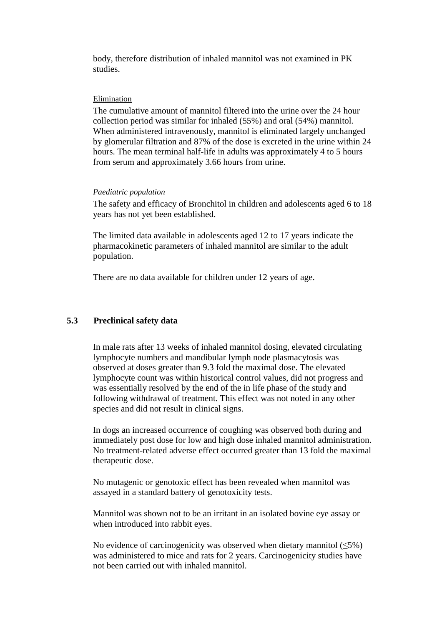body, therefore distribution of inhaled mannitol was not examined in PK studies.

#### Elimination

The cumulative amount of mannitol filtered into the urine over the 24 hour collection period was similar for inhaled (55%) and oral (54%) mannitol. When administered intravenously, mannitol is eliminated largely unchanged by glomerular filtration and 87% of the dose is excreted in the urine within 24 hours. The mean terminal half-life in adults was approximately 4 to 5 hours from serum and approximately 3.66 hours from urine.

#### *Paediatric population*

The safety and efficacy of Bronchitol in children and adolescents aged 6 to 18 years has not yet been established.

The limited data available in adolescents aged 12 to 17 years indicate the pharmacokinetic parameters of inhaled mannitol are similar to the adult population.

There are no data available for children under 12 years of age.

## **5.3 Preclinical safety data**

In male rats after 13 weeks of inhaled mannitol dosing, elevated circulating lymphocyte numbers and mandibular lymph node plasmacytosis was observed at doses greater than 9.3 fold the maximal dose. The elevated lymphocyte count was within historical control values, did not progress and was essentially resolved by the end of the in life phase of the study and following withdrawal of treatment. This effect was not noted in any other species and did not result in clinical signs.

In dogs an increased occurrence of coughing was observed both during and immediately post dose for low and high dose inhaled mannitol administration. No treatment-related adverse effect occurred greater than 13 fold the maximal therapeutic dose.

No mutagenic or genotoxic effect has been revealed when mannitol was assayed in a standard battery of genotoxicity tests.

Mannitol was shown not to be an irritant in an isolated bovine eye assay or when introduced into rabbit eyes.

No evidence of carcinogenicity was observed when dietary mannitol  $(\leq 5\%)$ was administered to mice and rats for 2 years. Carcinogenicity studies have not been carried out with inhaled mannitol.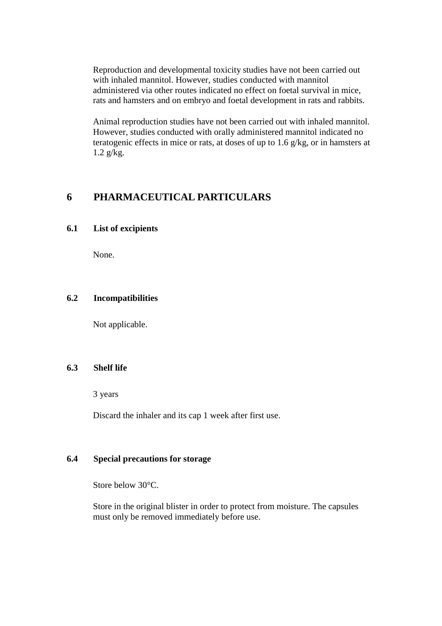Reproduction and developmental toxicity studies have not been carried out with inhaled mannitol. However, studies conducted with mannitol administered via other routes indicated no effect on foetal survival in mice, rats and hamsters and on embryo and foetal development in rats and rabbits.

Animal reproduction studies have not been carried out with inhaled mannitol. However, studies conducted with orally administered mannitol indicated no teratogenic effects in mice or rats, at doses of up to 1.6 g/kg, or in hamsters at 1.2 g/kg.

## **6 PHARMACEUTICAL PARTICULARS**

## **6.1 List of excipients**

None.

## **6.2 Incompatibilities**

Not applicable.

## **6.3 Shelf life**

3 years

Discard the inhaler and its cap 1 week after first use.

## **6.4 Special precautions for storage**

Store below 30°C.

Store in the original blister in order to protect from moisture. The capsules must only be removed immediately before use.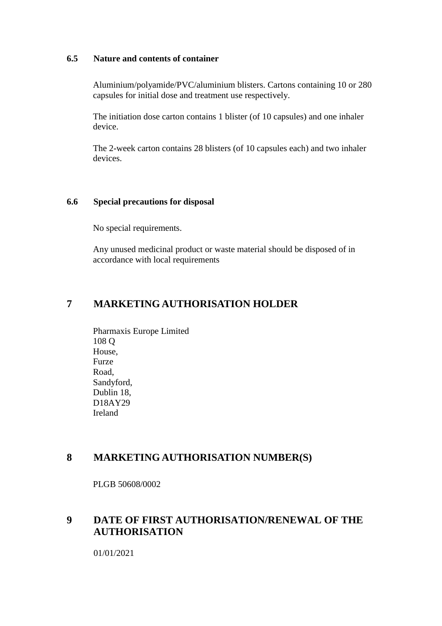## **6.5 Nature and contents of container**

Aluminium/polyamide/PVC/aluminium blisters. Cartons containing 10 or 280 capsules for initial dose and treatment use respectively.

The initiation dose carton contains 1 blister (of 10 capsules) and one inhaler device.

The 2-week carton contains 28 blisters (of 10 capsules each) and two inhaler devices.

## **6.6 Special precautions for disposal**

No special requirements.

Any unused medicinal product or waste material should be disposed of in accordance with local requirements

## **7 MARKETING AUTHORISATION HOLDER**

Pharmaxis Europe Limited 108 Q House, Furze Road, Sandyford, Dublin 18, D18AY29 Ireland

## **8 MARKETING AUTHORISATION NUMBER(S)**

PLGB 50608/0002

## **9 DATE OF FIRST AUTHORISATION/RENEWAL OF THE AUTHORISATION**

01/01/2021